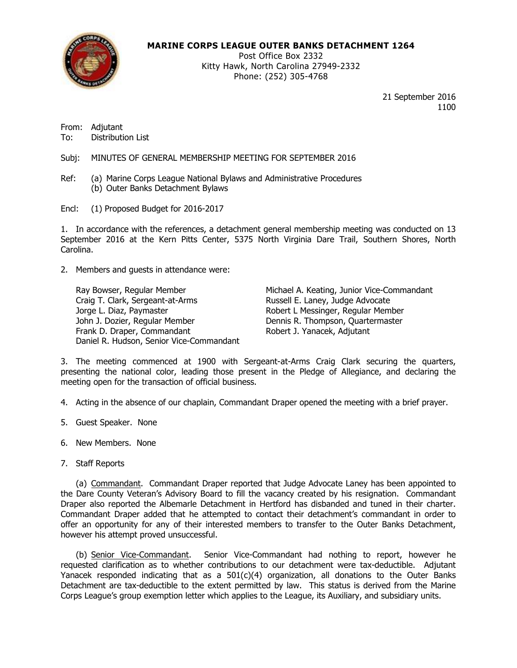

## **MARINE CORPS LEAGUE OUTER BANKS DETACHMENT 1264**

Post Office Box 2332 Kitty Hawk, North Carolina 27949-2332 Phone: (252) 305-4768

> 21 September 2016 1100

From: Adjutant To: Distribution List

Subj: MINUTES OF GENERAL MEMBERSHIP MEETING FOR SEPTEMBER 2016

- Ref: (a) Marine Corps League National Bylaws and Administrative Procedures (b) Outer Banks Detachment Bylaws
- Encl: (1) Proposed Budget for 2016-2017

1. In accordance with the references, a detachment general membership meeting was conducted on 13 September 2016 at the Kern Pitts Center, 5375 North Virginia Dare Trail, Southern Shores, North Carolina.

2. Members and guests in attendance were:

Craig T. Clark, Sergeant-at-Arms **Russell E. Laney, Judge Advocate** Jorge L. Diaz, Paymaster Robert L Messinger, Regular Member John J. Dozier, Regular Member **Dennis R. Thompson, Quartermaster** Frank D. Draper, Commandant Robert J. Yanacek, Adjutant Daniel R. Hudson, Senior Vice-Commandant

Ray Bowser, Regular Member Michael A. Keating, Junior Vice-Commandant

3. The meeting commenced at 1900 with Sergeant-at-Arms Craig Clark securing the quarters, presenting the national color, leading those present in the Pledge of Allegiance, and declaring the meeting open for the transaction of official business.

4. Acting in the absence of our chaplain, Commandant Draper opened the meeting with a brief prayer.

- 5. Guest Speaker. None
- 6. New Members. None
- 7. Staff Reports

(a) Commandant. Commandant Draper reported that Judge Advocate Laney has been appointed to the Dare County Veteran's Advisory Board to fill the vacancy created by his resignation. Commandant Draper also reported the Albemarle Detachment in Hertford has disbanded and tuned in their charter. Commandant Draper added that he attempted to contact their detachment's commandant in order to offer an opportunity for any of their interested members to transfer to the Outer Banks Detachment, however his attempt proved unsuccessful.

(b) Senior Vice-Commandant. Senior Vice-Commandant had nothing to report, however he requested clarification as to whether contributions to our detachment were tax-deductible. Adjutant Yanacek responded indicating that as a 501(c)(4) organization, all donations to the Outer Banks Detachment are tax-deductible to the extent permitted by law. This status is derived from the Marine Corps League's group exemption letter which applies to the League, its Auxiliary, and subsidiary units.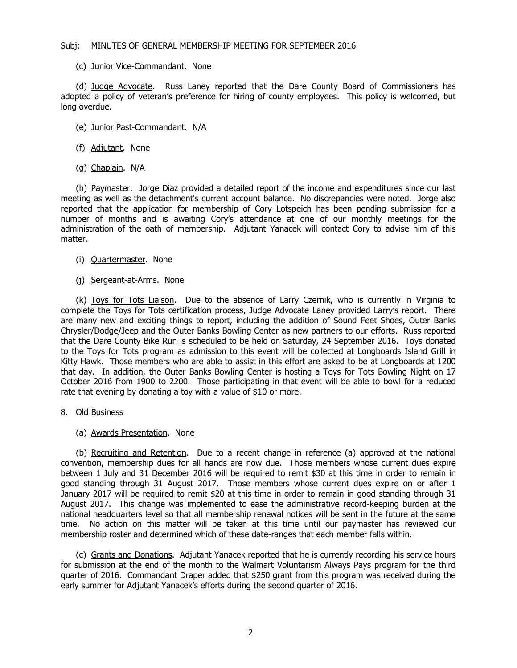## Subj: MINUTES OF GENERAL MEMBERSHIP MEETING FOR SEPTEMBER 2016

(c) Junior Vice-Commandant. None

(d) Judge Advocate. Russ Laney reported that the Dare County Board of Commissioners has adopted a policy of veteran's preference for hiring of county employees. This policy is welcomed, but long overdue.

- (e) Junior Past-Commandant. N/A
- (f) Adjutant. None
- (g) Chaplain. N/A

(h) Paymaster. Jorge Diaz provided a detailed report of the income and expenditures since our last meeting as well as the detachment's current account balance. No discrepancies were noted. Jorge also reported that the application for membership of Cory Lotspeich has been pending submission for a number of months and is awaiting Cory's attendance at one of our monthly meetings for the administration of the oath of membership. Adjutant Yanacek will contact Cory to advise him of this matter.

- (i) Quartermaster. None
- (j) Sergeant-at-Arms. None

(k) Toys for Tots Liaison. Due to the absence of Larry Czernik, who is currently in Virginia to complete the Toys for Tots certification process, Judge Advocate Laney provided Larry's report. There are many new and exciting things to report, including the addition of Sound Feet Shoes, Outer Banks Chrysler/Dodge/Jeep and the Outer Banks Bowling Center as new partners to our efforts. Russ reported that the Dare County Bike Run is scheduled to be held on Saturday, 24 September 2016. Toys donated to the Toys for Tots program as admission to this event will be collected at Longboards Island Grill in Kitty Hawk. Those members who are able to assist in this effort are asked to be at Longboards at 1200 that day. In addition, the Outer Banks Bowling Center is hosting a Toys for Tots Bowling Night on 17 October 2016 from 1900 to 2200. Those participating in that event will be able to bowl for a reduced rate that evening by donating a toy with a value of \$10 or more.

- 8. Old Business
	- (a) Awards Presentation. None

(b) Recruiting and Retention. Due to a recent change in reference (a) approved at the national convention, membership dues for all hands are now due. Those members whose current dues expire between 1 July and 31 December 2016 will be required to remit \$30 at this time in order to remain in good standing through 31 August 2017. Those members whose current dues expire on or after 1 January 2017 will be required to remit \$20 at this time in order to remain in good standing through 31 August 2017. This change was implemented to ease the administrative record-keeping burden at the national headquarters level so that all membership renewal notices will be sent in the future at the same time. No action on this matter will be taken at this time until our paymaster has reviewed our membership roster and determined which of these date-ranges that each member falls within.

(c) Grants and Donations. Adjutant Yanacek reported that he is currently recording his service hours for submission at the end of the month to the Walmart Voluntarism Always Pays program for the third quarter of 2016. Commandant Draper added that \$250 grant from this program was received during the early summer for Adjutant Yanacek's efforts during the second quarter of 2016.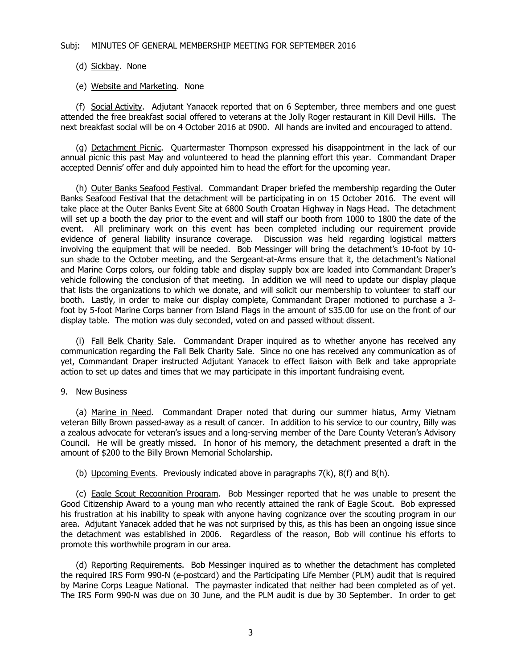## Subj: MINUTES OF GENERAL MEMBERSHIP MEETING FOR SEPTEMBER 2016

## (d) Sickbay. None

(e) Website and Marketing. None

(f) Social Activity. Adjutant Yanacek reported that on 6 September, three members and one guest attended the free breakfast social offered to veterans at the Jolly Roger restaurant in Kill Devil Hills. The next breakfast social will be on 4 October 2016 at 0900. All hands are invited and encouraged to attend.

(g) Detachment Picnic. Quartermaster Thompson expressed his disappointment in the lack of our annual picnic this past May and volunteered to head the planning effort this year. Commandant Draper accepted Dennis' offer and duly appointed him to head the effort for the upcoming year.

(h) Outer Banks Seafood Festival. Commandant Draper briefed the membership regarding the Outer Banks Seafood Festival that the detachment will be participating in on 15 October 2016. The event will take place at the Outer Banks Event Site at 6800 South Croatan Highway in Nags Head. The detachment will set up a booth the day prior to the event and will staff our booth from 1000 to 1800 the date of the event. All preliminary work on this event has been completed including our requirement provide evidence of general liability insurance coverage. Discussion was held regarding logistical matters involving the equipment that will be needed. Bob Messinger will bring the detachment's 10-foot by 10 sun shade to the October meeting, and the Sergeant-at-Arms ensure that it, the detachment's National and Marine Corps colors, our folding table and display supply box are loaded into Commandant Draper's vehicle following the conclusion of that meeting. In addition we will need to update our display plaque that lists the organizations to which we donate, and will solicit our membership to volunteer to staff our booth. Lastly, in order to make our display complete, Commandant Draper motioned to purchase a 3 foot by 5-foot Marine Corps banner from Island Flags in the amount of \$35.00 for use on the front of our display table. The motion was duly seconded, voted on and passed without dissent.

(i) Fall Belk Charity Sale. Commandant Draper inquired as to whether anyone has received any communication regarding the Fall Belk Charity Sale. Since no one has received any communication as of yet, Commandant Draper instructed Adjutant Yanacek to effect liaison with Belk and take appropriate action to set up dates and times that we may participate in this important fundraising event.

## 9. New Business

(a) Marine in Need. Commandant Draper noted that during our summer hiatus, Army Vietnam veteran Billy Brown passed-away as a result of cancer. In addition to his service to our country, Billy was a zealous advocate for veteran's issues and a long-serving member of the Dare County Veteran's Advisory Council. He will be greatly missed. In honor of his memory, the detachment presented a draft in the amount of \$200 to the Billy Brown Memorial Scholarship.

(b) Upcoming Events. Previously indicated above in paragraphs 7(k), 8(f) and 8(h).

(c) Eagle Scout Recognition Program. Bob Messinger reported that he was unable to present the Good Citizenship Award to a young man who recently attained the rank of Eagle Scout. Bob expressed his frustration at his inability to speak with anyone having cognizance over the scouting program in our area. Adjutant Yanacek added that he was not surprised by this, as this has been an ongoing issue since the detachment was established in 2006. Regardless of the reason, Bob will continue his efforts to promote this worthwhile program in our area.

(d) Reporting Requirements. Bob Messinger inquired as to whether the detachment has completed the required IRS Form 990-N (e-postcard) and the Participating Life Member (PLM) audit that is required by Marine Corps League National. The paymaster indicated that neither had been completed as of yet. The IRS Form 990-N was due on 30 June, and the PLM audit is due by 30 September. In order to get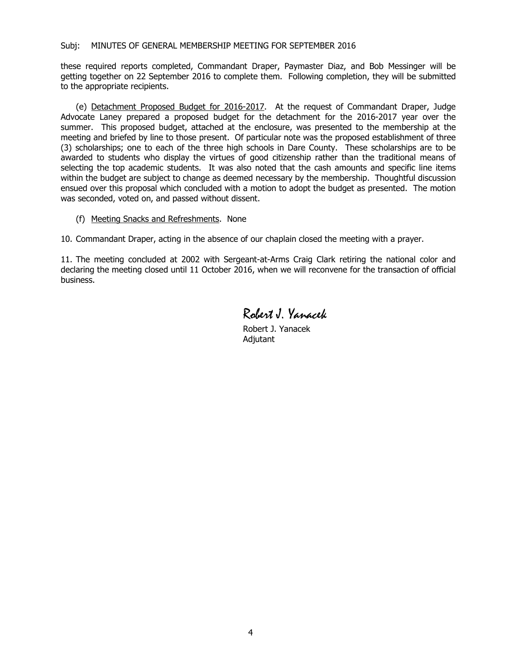## Subj: MINUTES OF GENERAL MEMBERSHIP MEETING FOR SEPTEMBER 2016

these required reports completed, Commandant Draper, Paymaster Diaz, and Bob Messinger will be getting together on 22 September 2016 to complete them. Following completion, they will be submitted to the appropriate recipients.

(e) Detachment Proposed Budget for 2016-2017. At the request of Commandant Draper, Judge Advocate Laney prepared a proposed budget for the detachment for the 2016-2017 year over the summer. This proposed budget, attached at the enclosure, was presented to the membership at the meeting and briefed by line to those present. Of particular note was the proposed establishment of three (3) scholarships; one to each of the three high schools in Dare County. These scholarships are to be awarded to students who display the virtues of good citizenship rather than the traditional means of selecting the top academic students. It was also noted that the cash amounts and specific line items within the budget are subject to change as deemed necessary by the membership. Thoughtful discussion ensued over this proposal which concluded with a motion to adopt the budget as presented. The motion was seconded, voted on, and passed without dissent.

(f) Meeting Snacks and Refreshments. None

10. Commandant Draper, acting in the absence of our chaplain closed the meeting with a prayer.

11. The meeting concluded at 2002 with Sergeant-at-Arms Craig Clark retiring the national color and declaring the meeting closed until 11 October 2016, when we will reconvene for the transaction of official business.

Robert J. Yanacek

Robert J. Yanacek Adjutant